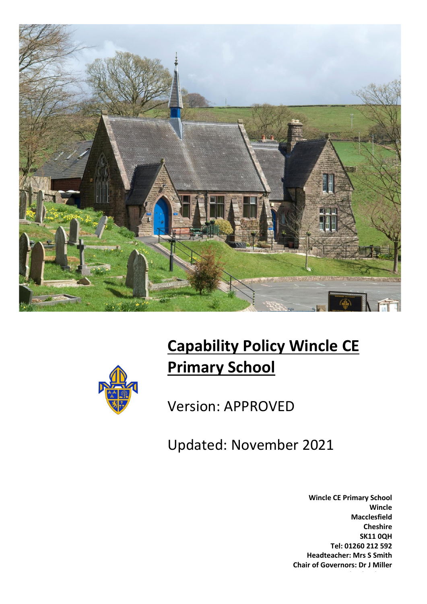



# **Capability Policy Wincle CE Primary School**

Version: APPROVED

Updated: November 2021

**Wincle CE Primary School Wincle Macclesfield Cheshire SK11 0QH Tel: 01260 212 592 Headteacher: Mrs S Smith Chair of Governors: Dr J Miller**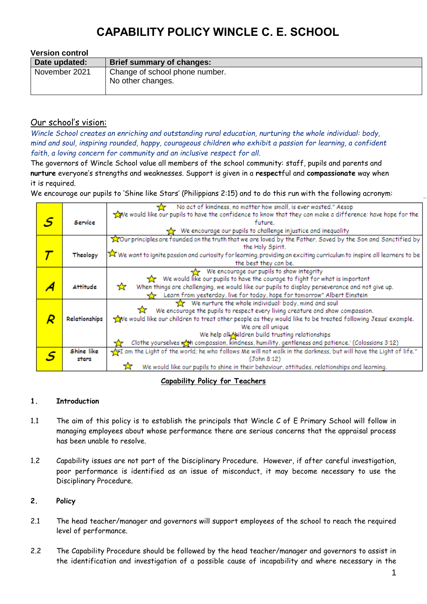| <b>Version control</b> |                                                     |
|------------------------|-----------------------------------------------------|
| Date updated:          | Brief summary of changes:                           |
| November 2021          | Change of school phone number.<br>No other changes. |

### Our school's vision:

*Wincle School creates an enriching and outstanding rural education, nurturing the whole individual: body, mind and soul, inspiring rounded, happy, courageous children who exhibit a passion for learning, a confident faith, a loving concern for community and an inclusive respect for all.*

The governors of Wincle School value all members of the school community: staff, pupils and parents and **nurture** everyone's strengths and weaknesses. Support is given in a **respect**ful and **compassionate** way when it is required.

We encourage our pupils to 'Shine like Stars' (Philippians 2:15) and to do this run with the following acronym:

|               | No act of kindness, no matter how small, is ever wasted." Aesop                                                        |
|---------------|------------------------------------------------------------------------------------------------------------------------|
|               | we would like our pupils to have the confidence to know that they can make a difference: have hope for the             |
| Service       | future.                                                                                                                |
|               | We encourage our pupils to challenge injustice and inequality                                                          |
|               | Tour principles are founded on the truth that we are loved by the Father, Saved by the Son and Sanctified by           |
|               | the Holy Spirit.                                                                                                       |
| Theology      | X We want to ignite passion and curiosity for learning, providing an exciting curriculum to inspire all learners to be |
|               | the best they can be.                                                                                                  |
|               | We encourage our pupils to show integrity                                                                              |
|               | We would like our pupils to have the courage to fight for what is important                                            |
| Attitude      | ☆<br>When things are challenging, we would like our pupils to display perseverance and not give up.                    |
|               | Learn from yesterday, live for today, hope for tomorrow" Albert Einstein                                               |
|               | We nurture the whole individual: body, mind and soul                                                                   |
|               | We encourage the pupils to respect every living creature and show compassion.                                          |
| Relationships | we would like our children to treat other people as they would like to be treated following Jesus' example.            |
|               | We are all unique                                                                                                      |
|               | We help all Nildren build trusting relationships                                                                       |
|               | Clothe yourselves with compassion, kindness, humility, gentleness and patience.' (Colossians 3:12)                     |
| Shine like    | am the Light of the world; he who follows Me will not walk in the darkness, but will have the Light of life."          |
| stars         | (John 8:12)                                                                                                            |
|               | We would like our pupils to shine in their behaviour, attitudes, relationships and learning.                           |

**Capability Policy for Teachers**

### **1. Introduction**

- 1.1 The aim of this policy is to establish the principals that Wincle C of E Primary School will follow in managing employees about whose performance there are serious concerns that the appraisal process has been unable to resolve.
- 1.2 Capability issues are not part of the Disciplinary Procedure. However, if after careful investigation, poor performance is identified as an issue of misconduct, it may become necessary to use the Disciplinary Procedure.

### **2. Policy**

- 2.1 The head teacher/manager and governors will support employees of the school to reach the required level of performance.
- 2.2 The Capability Procedure should be followed by the head teacher/manager and governors to assist in the identification and investigation of a possible cause of incapability and where necessary in the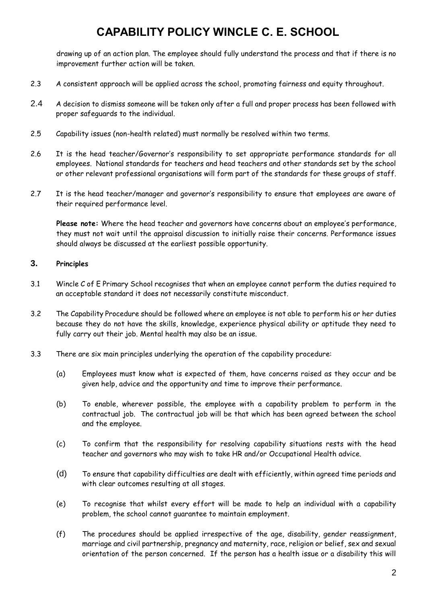drawing up of an action plan. The employee should fully understand the process and that if there is no improvement further action will be taken.

- 2.3 A consistent approach will be applied across the school, promoting fairness and equity throughout.
- 2.4 A decision to dismiss someone will be taken only after a full and proper process has been followed with proper safeguards to the individual.
- 2.5 Capability issues (non-health related) must normally be resolved within two terms.
- 2.6 It is the head teacher/Governor's responsibility to set appropriate performance standards for all employees. National standards for teachers and head teachers and other standards set by the school or other relevant professional organisations will form part of the standards for these groups of staff.
- 2.7 It is the head teacher/manager and governor's responsibility to ensure that employees are aware of their required performance level.

**Please note:** Where the head teacher and governors have concerns about an employee's performance, they must not wait until the appraisal discussion to initially raise their concerns. Performance issues should always be discussed at the earliest possible opportunity.

### **3. Principles**

- 3.1 Wincle C of E Primary School recognises that when an employee cannot perform the duties required to an acceptable standard it does not necessarily constitute misconduct.
- 3.2 The Capability Procedure should be followed where an employee is not able to perform his or her duties because they do not have the skills, knowledge, experience physical ability or aptitude they need to fully carry out their job. Mental health may also be an issue.
- 3.3 There are six main principles underlying the operation of the capability procedure:
	- (a) Employees must know what is expected of them, have concerns raised as they occur and be given help, advice and the opportunity and time to improve their performance.
	- (b) To enable, wherever possible, the employee with a capability problem to perform in the contractual job. The contractual job will be that which has been agreed between the school and the employee.
	- (c) To confirm that the responsibility for resolving capability situations rests with the head teacher and governors who may wish to take HR and/or Occupational Health advice.
	- (d) To ensure that capability difficulties are dealt with efficiently, within agreed time periods and with clear outcomes resulting at all stages.
	- (e) To recognise that whilst every effort will be made to help an individual with a capability problem, the school cannot guarantee to maintain employment.
	- (f) The procedures should be applied irrespective of the age, disability, gender reassignment, marriage and civil partnership, pregnancy and maternity, race, religion or belief, sex and sexual orientation of the person concerned. If the person has a health issue or a disability this will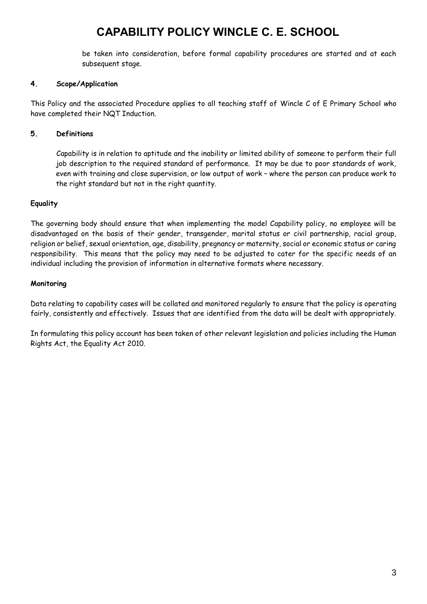be taken into consideration, before formal capability procedures are started and at each subsequent stage.

### **4. Scope/Application**

This Policy and the associated Procedure applies to all teaching staff of Wincle C of E Primary School *w*ho have completed their NQT Induction.

### **5. Definitions**

Capability is in relation to aptitude and the inability or limited ability of someone to perform their full job description to the required standard of performance. It may be due to poor standards of work, even with training and close supervision, or low output of work – where the person can produce work to the right standard but not in the right quantity.

### **Equality**

The governing body should ensure that when implementing the model Capability policy, no employee will be disadvantaged on the basis of their gender, transgender, marital status or civil partnership, racial group, religion or belief, sexual orientation, age, disability, pregnancy or maternity, social or economic status or caring responsibility. This means that the policy may need to be adjusted to cater for the specific needs of an individual including the provision of information in alternative formats where necessary.

### **Monitoring**

Data relating to capability cases will be collated and monitored regularly to ensure that the policy is operating fairly, consistently and effectively. Issues that are identified from the data will be dealt with appropriately.

In formulating this policy account has been taken of other relevant legislation and policies including the Human Rights Act, the Equality Act 2010.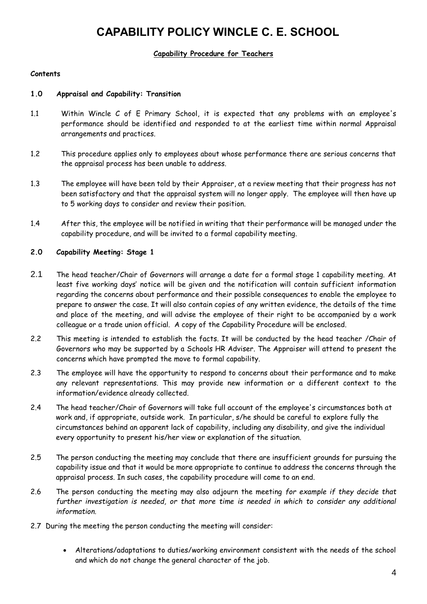### **Capability Procedure for Teachers**

#### **Contents**

#### **1.0 Appraisal and Capability: Transition**

- 1.1 Within Wincle C of E Primary School, it is expected that any problems with an employee's performance should be identified and responded to at the earliest time within normal Appraisal arrangements and practices.
- 1.2 This procedure applies only to employees about whose performance there are serious concerns that the appraisal process has been unable to address.
- 1.3 The employee will have been told by their Appraiser, at a review meeting that their progress has not been satisfactory and that the appraisal system will no longer apply. The employee will then have up to 5 working days to consider and review their position.
- 1.4 After this, the employee will be notified in writing that their performance will be managed under the capability procedure, and will be invited to a formal capability meeting.

#### **2.0 Capability Meeting: Stage 1**

- 2.1 The head teacher/Chair of Governors will arrange a date for a formal stage 1 capability meeting. At least five working days' notice will be given and the notification will contain sufficient information regarding the concerns about performance and their possible consequences to enable the employee to prepare to answer the case. It will also contain copies of any written evidence, the details of the time and place of the meeting, and will advise the employee of their right to be accompanied by a work colleague or a trade union official. A copy of the Capability Procedure will be enclosed.
- 2.2 This meeting is intended to establish the facts. It will be conducted by the head teacher /Chair of Governors who may be supported by a Schools HR Adviser. The Appraiser will attend to present the concerns which have prompted the move to formal capability.
- 2.3 The employee will have the opportunity to respond to concerns about their performance and to make any relevant representations. This may provide new information or a different context to the information/evidence already collected.
- 2.4 The head teacher/Chair of Governors will take full account of the employee's circumstances both at work and, if appropriate, outside work. In particular, s/he should be careful to explore fully the circumstances behind an apparent lack of capability, including any disability, and give the individual every opportunity to present his/her view or explanation of the situation.
- 2.5 The person conducting the meeting may conclude that there are insufficient grounds for pursuing the capability issue and that it would be more appropriate to continue to address the concerns through the appraisal process. In such cases, the capability procedure will come to an end.
- 2.6 The person conducting the meeting may also adjourn the meeting *for example if they decide that further investigation is needed, or that more time is needed in which to consider any additional information.*
- 2.7 During the meeting the person conducting the meeting will consider:
	- Alterations/adaptations to duties/working environment consistent with the needs of the school and which do not change the general character of the job.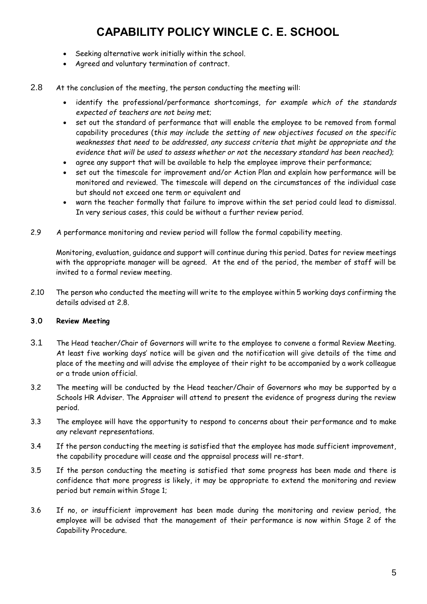- Seeking alternative work initially within the school.
- Agreed and voluntary termination of contract.
- 2.8 At the conclusion of the meeting, the person conducting the meeting will:
	- identify the professional/performance shortcomings, *for example which of the standards expected of teachers are not being met*;
	- set out the standard of performance that will enable the employee to be removed from formal capability procedures (*this may include the setting of new objectives focused on the specific weaknesses that need to be addressed, any success criteria that might be appropriate and the evidence that will be used to assess whether or not the necessary standard has been reached)*;
	- agree any support that will be available to help the employee improve their performance;
	- set out the timescale for improvement and/or Action Plan and explain how performance will be monitored and reviewed. The timescale will depend on the circumstances of the individual case but should not exceed one term or equivalent and
	- warn the teacher formally that failure to improve within the set period could lead to dismissal. In very serious cases, this could be without a further review period.
- 2.9 A performance monitoring and review period will follow the formal capability meeting.

Monitoring, evaluation, guidance and support will continue during this period. Dates for review meetings with the appropriate manager will be agreed. At the end of the period, the member of staff will be invited to a formal review meeting.

2.10 The person who conducted the meeting will write to the employee within 5 working days confirming the details advised at 2.8.

### **3.0 Review Meeting**

- 3.1 The Head teacher/Chair of Governors will write to the employee to convene a formal Review Meeting. At least five working days' notice will be given and the notification will give details of the time and place of the meeting and will advise the employee of their right to be accompanied by a work colleague or a trade union official.
- 3.2 The meeting will be conducted by the Head teacher/Chair of Governors who may be supported by a Schools HR Adviser. The Appraiser will attend to present the evidence of progress during the review period.
- 3.3 The employee will have the opportunity to respond to concerns about their performance and to make any relevant representations.
- 3.4 If the person conducting the meeting is satisfied that the employee has made sufficient improvement, the capability procedure will cease and the appraisal process will re-start.
- 3.5 If the person conducting the meeting is satisfied that some progress has been made and there is confidence that more progress is likely, it may be appropriate to extend the monitoring and review period but remain within Stage 1;
- 3.6 If no, or insufficient improvement has been made during the monitoring and review period, the employee will be advised that the management of their performance is now within Stage 2 of the Capability Procedure.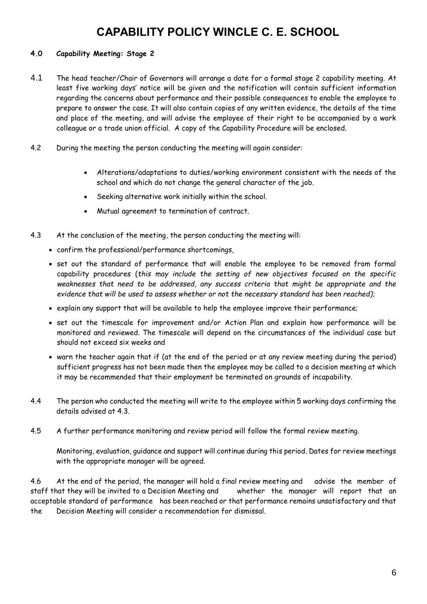### **4.0 Capability Meeting: Stage 2**

- 4.1 The head teacher/Chair of Governors will arrange a date for a formal stage 2 capability meeting. At least five working days' notice will be given and the notification will contain sufficient information regarding the concerns about performance and their possible consequences to enable the employee to prepare to answer the case. It will also contain copies of any written evidence, the details of the time and place of the meeting, and will advise the employee of their right to be accompanied by a work colleague or a trade union official. A copy of the Capability Procedure will be enclosed.
- 4.2 During the meeting the person conducting the meeting will again consider:
	- Alterations/adaptations to duties/working environment consistent with the needs of the school and which do not change the general character of the job.
	- Seeking alternative work initially within the school.
	- Mutual agreement to termination of contract.
- 4.3 At the conclusion of the meeting, the person conducting the meeting will:
	- confirm the professional/performance shortcomings,
	- set out the standard of performance that will enable the employee to be removed from formal capability procedures (*this may include the setting of new objectives focused on the specific weaknesses that need to be addressed, any success criteria that might be appropriate and the evidence that will be used to assess whether or not the necessary standard has been reached)*;
	- explain any support that will be available to help the employee improve their performance;
	- set out the timescale for improvement and/or Action Plan and explain how performance will be monitored and reviewed. The timescale will depend on the circumstances of the individual case but should not exceed six weeks and
	- warn the teacher again that if (at the end of the period or at any review meeting during the period) sufficient progress has not been made then the employee may be called to a decision meeting at which it may be recommended that their employment be terminated on grounds of incapability.
- 4.4 The person who conducted the meeting will write to the employee within 5 working days confirming the details advised at 4.3.
- 4.5 A further performance monitoring and review period will follow the formal review meeting.

Monitoring, evaluation, guidance and support will continue during this period. Dates for review meetings with the appropriate manager will be agreed.

4.6 At the end of the period, the manager will hold a final review meeting and advise the member of staff that they will be invited to a Decision Meeting and whether the manager will report that an acceptable standard of performance has been reached or that performance remains unsatisfactory and that the Decision Meeting will consider a recommendation for dismissal.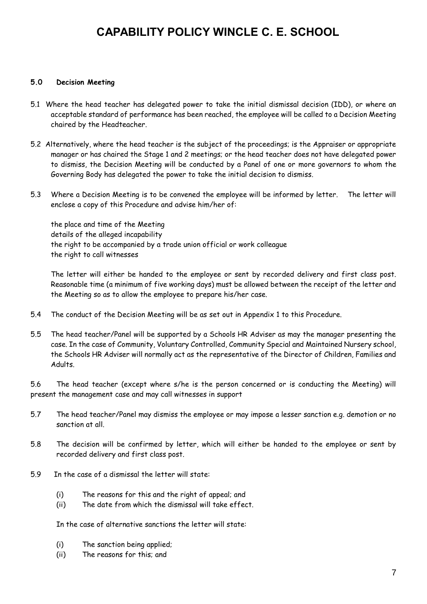#### **5.0 Decision Meeting**

- 5.1 Where the head teacher has delegated power to take the initial dismissal decision (IDD), or where an acceptable standard of performance has been reached, the employee will be called to a Decision Meeting chaired by the Headteacher.
- 5.2 Alternatively, where the head teacher is the subject of the proceedings; is the Appraiser or appropriate manager or has chaired the Stage 1 and 2 meetings; or the head teacher does not have delegated power to dismiss, the Decision Meeting will be conducted by a Panel of one or more governors to whom the Governing Body has delegated the power to take the initial decision to dismiss.
- 5.3 Where a Decision Meeting is to be convened the employee will be informed by letter. The letter will enclose a copy of this Procedure and advise him/her of:

the place and time of the Meeting details of the alleged incapability the right to be accompanied by a trade union official or work colleague the right to call witnesses

The letter will either be handed to the employee or sent by recorded delivery and first class post. Reasonable time (a minimum of five working days) must be allowed between the receipt of the letter and the Meeting so as to allow the employee to prepare his/her case.

- 5.4 The conduct of the Decision Meeting will be as set out in Appendix 1 to this Procedure.
- 5.5 The head teacher/Panel will be supported by a Schools HR Adviser as may the manager presenting the case. In the case of Community, Voluntary Controlled, Community Special and Maintained Nursery school, the Schools HR Adviser will normally act as the representative of the Director of Children, Families and Adults.

5.6 The head teacher (except where s/he is the person concerned or is conducting the Meeting) will present the management case and may call witnesses in support

- 5.7 The head teacher/Panel may dismiss the employee or may impose a lesser sanction e.g. demotion or no sanction at all.
- 5.8 The decision will be confirmed by letter, which will either be handed to the employee or sent by recorded delivery and first class post.
- 5.9 In the case of a dismissal the letter will state:
	- (i) The reasons for this and the right of appeal; and
	- (ii) The date from which the dismissal will take effect.

In the case of alternative sanctions the letter will state:

- (i) The sanction being applied;
- (ii) The reasons for this; and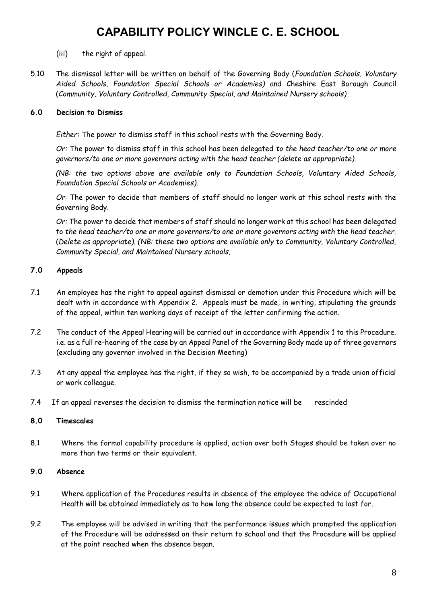- (iii) the right of appeal.
- 5.10 The dismissal letter will be written on behalf of the Governing Body (*Foundation Schools, Voluntary Aided Schools, Foundation Special Schools or Academies)* and Cheshire East Borough Council (*Community, Voluntary Controlled, Community Special, and Maintained Nursery schools)*

### **6.0 Decision to Dismiss**

*Either:* The power to dismiss staff in this school rests with the Governing Body.

*Or:* The power to dismiss staff in this school has been delegated *to the head teacher/to one or more governors/to one or more governors acting with the head teacher (delete as appropriate).* 

*(NB: the two options above are available only to Foundation Schools, Voluntary Aided Schools, Foundation Special Schools or Academies).* 

*Or*: The power to decide that members of staff should no longer work at this school rests with the Governing Body.

*Or:* The power to decide that members of staff should no longer work at this school has been delegated to *the head teacher/to one or more governors/to one or more governors acting with the head teacher.*  (*Delete as appropriate). (NB: these two options are available only to Community, Voluntary Controlled, Community Special, and Maintained Nursery schools,* 

### **7.0 Appeals**

- 7.1 An employee has the right to appeal against dismissal or demotion under this Procedure which will be dealt with in accordance with Appendix 2. Appeals must be made, in writing, stipulating the grounds of the appeal, within ten working days of receipt of the letter confirming the action.
- 7.2 The conduct of the Appeal Hearing will be carried out in accordance with Appendix 1 to this Procedure. i.e. as a full re-hearing of the case by an Appeal Panel of the Governing Body made up of three governors (excluding any governor involved in the Decision Meeting)
- 7.3 At any appeal the employee has the right, if they so wish, to be accompanied by a trade union official or work colleague.
- 7.4 If an appeal reverses the decision to dismiss the termination notice will be rescinded

### **8.0 Timescales**

8.1 Where the formal capability procedure is applied, action over both Stages should be taken over no more than two terms or their equivalent.

### **9.0 Absence**

- 9.1 Where application of the Procedures results in absence of the employee the advice of Occupational Health will be obtained immediately as to how long the absence could be expected to last for.
- 9.2 The employee will be advised in writing that the performance issues which prompted the application of the Procedure will be addressed on their return to school and that the Procedure will be applied at the point reached when the absence began.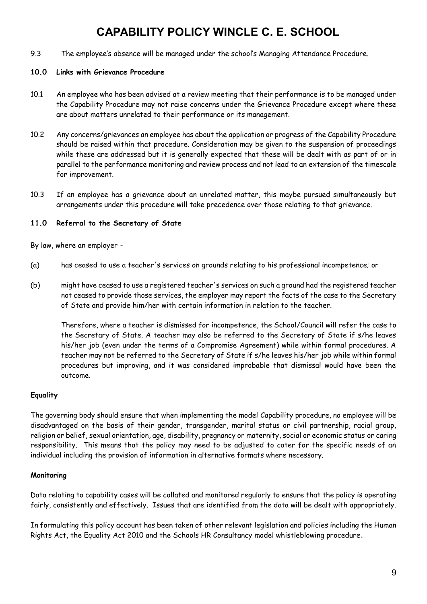9.3 The employee's absence will be managed under the school's Managing Attendance Procedure.

#### **10.0 Links with Grievance Procedure**

- 10.1 An employee who has been advised at a review meeting that their performance is to be managed under the Capability Procedure may not raise concerns under the Grievance Procedure except where these are about matters unrelated to their performance or its management.
- 10.2 Any concerns/grievances an employee has about the application or progress of the Capability Procedure should be raised within that procedure. Consideration may be given to the suspension of proceedings while these are addressed but it is generally expected that these will be dealt with as part of or in parallel to the performance monitoring and review process and not lead to an extension of the timescale for improvement.
- 10.3 If an employee has a grievance about an unrelated matter, this maybe pursued simultaneously but arrangements under this procedure will take precedence over those relating to that grievance.

### **11.0 Referral to the Secretary of State**

By law, where an employer -

- (a) has ceased to use a teacher's services on grounds relating to his professional incompetence; or
- (b) might have ceased to use a registered teacher's services on such a ground had the registered teacher not ceased to provide those services, the employer may report the facts of the case to the Secretary of State and provide him/her with certain information in relation to the teacher.

Therefore, where a teacher is dismissed for incompetence, the School/Council will refer the case to the Secretary of State. A teacher may also be referred to the Secretary of State if s/he leaves his/her job (even under the terms of a Compromise Agreement) while within formal procedures. A teacher may not be referred to the Secretary of State if s/he leaves his/her job while within formal procedures but improving, and it was considered improbable that dismissal would have been the outcome.

### **Equality**

The governing body should ensure that when implementing the model Capability procedure, no employee will be disadvantaged on the basis of their gender, transgender, marital status or civil partnership, racial group, religion or belief, sexual orientation, age, disability, pregnancy or maternity, social or economic status or caring responsibility. This means that the policy may need to be adjusted to cater for the specific needs of an individual including the provision of information in alternative formats where necessary.

### **Monitoring**

Data relating to capability cases will be collated and monitored regularly to ensure that the policy is operating fairly, consistently and effectively. Issues that are identified from the data will be dealt with appropriately.

In formulating this policy account has been taken of other relevant legislation and policies including the Human Rights Act, the Equality Act 2010 and the Schools HR Consultancy model whistleblowing procedure.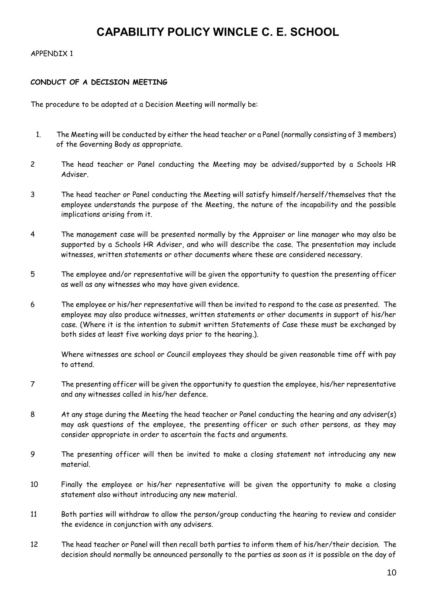#### APPENDIX 1

#### **CONDUCT OF A DECISION MEETING**

The procedure to be adopted at a Decision Meeting will normally be:

- 1. The Meeting will be conducted by either the head teacher or a Panel (normally consisting of 3 members) of the Governing Body as appropriate.
- 2 The head teacher or Panel conducting the Meeting may be advised/supported by a Schools HR Adviser.
- 3 The head teacher or Panel conducting the Meeting will satisfy himself/herself/themselves that the employee understands the purpose of the Meeting, the nature of the incapability and the possible implications arising from it.
- 4 The management case will be presented normally by the Appraiser or line manager who may also be supported by a Schools HR Adviser, and who will describe the case. The presentation may include witnesses, written statements or other documents where these are considered necessary.
- 5 The employee and/or representative will be given the opportunity to question the presenting officer as well as any witnesses who may have given evidence.
- 6 The employee or his/her representative will then be invited to respond to the case as presented. The employee may also produce witnesses, written statements or other documents in support of his/her case. (Where it is the intention to submit written Statements of Case these must be exchanged by both sides at least five working days prior to the hearing.).

Where witnesses are school or Council employees they should be given reasonable time off with pay to attend.

- 7 The presenting officer will be given the opportunity to question the employee, his/her representative and any witnesses called in his/her defence.
- 8 At any stage during the Meeting the head teacher or Panel conducting the hearing and any adviser(s) may ask questions of the employee, the presenting officer or such other persons, as they may consider appropriate in order to ascertain the facts and arguments.
- 9 The presenting officer will then be invited to make a closing statement not introducing any new material.
- 10 Finally the employee or his/her representative will be given the opportunity to make a closing statement also without introducing any new material.
- 11 Both parties will withdraw to allow the person/group conducting the hearing to review and consider the evidence in conjunction with any advisers.
- 12 The head teacher or Panel will then recall both parties to inform them of his/her/their decision. The decision should normally be announced personally to the parties as soon as it is possible on the day of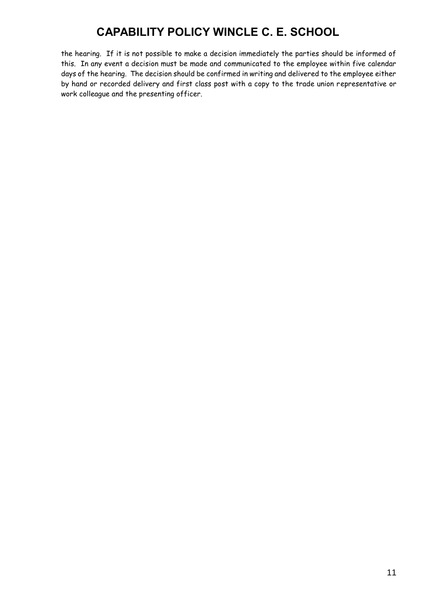the hearing. If it is not possible to make a decision immediately the parties should be informed of this. In any event a decision must be made and communicated to the employee within five calendar days of the hearing. The decision should be confirmed in writing and delivered to the employee either by hand or recorded delivery and first class post with a copy to the trade union representative or work colleague and the presenting officer.